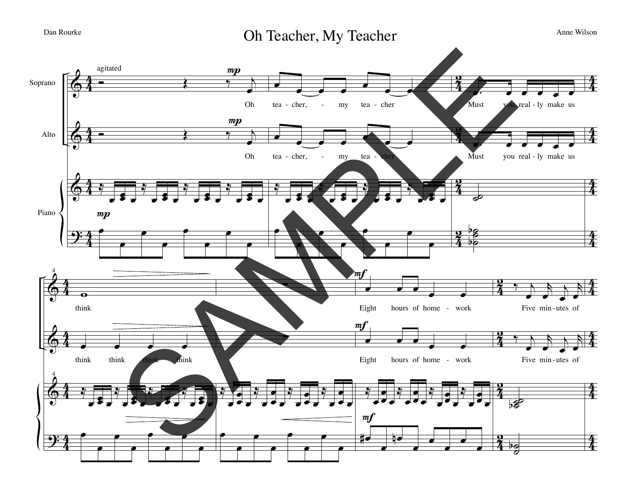Dan Rourke **Oh Teacher, My Teacher** Anne Wilson

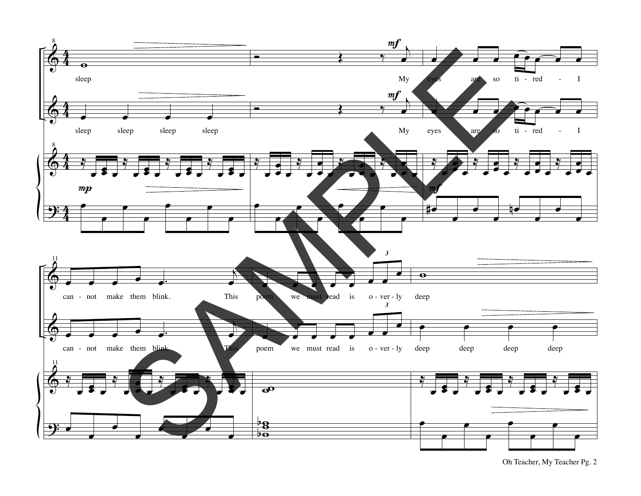

Oh Teacher, My Teacher Pg. 2